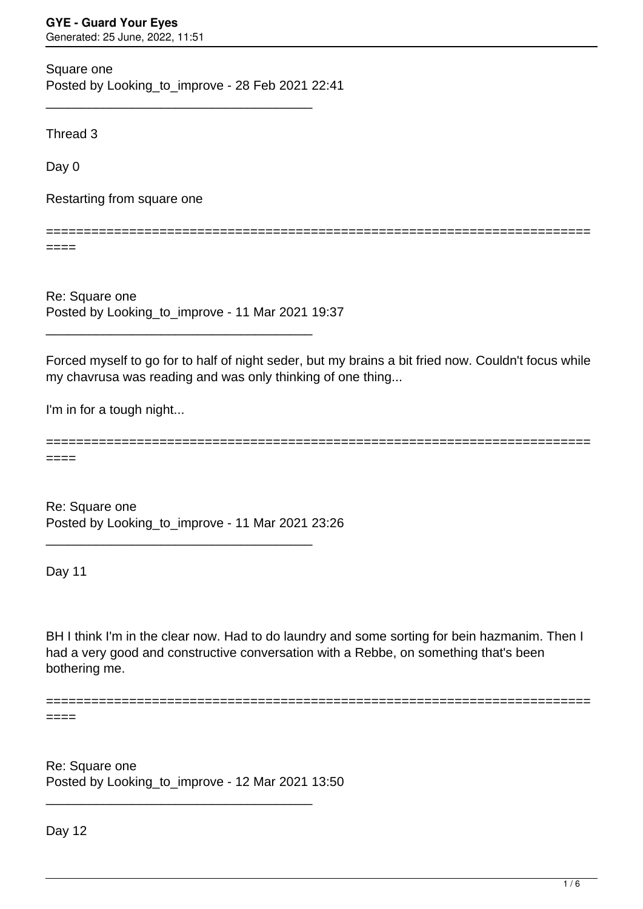Square one Posted by Looking to improve - 28 Feb 2021 22:41

\_\_\_\_\_\_\_\_\_\_\_\_\_\_\_\_\_\_\_\_\_\_\_\_\_\_\_\_\_\_\_\_\_\_\_\_\_

Thread 3

Day 0

Restarting from square one

========================================================================

 $====$ 

Re: Square one Posted by Looking to improve - 11 Mar 2021 19:37

\_\_\_\_\_\_\_\_\_\_\_\_\_\_\_\_\_\_\_\_\_\_\_\_\_\_\_\_\_\_\_\_\_\_\_\_\_

Forced myself to go for to half of night seder, but my brains a bit fried now. Couldn't focus while my chavrusa was reading and was only thinking of one thing...

I'm in for a tough night...

======================================================================== ====

Re: Square one Posted by Looking\_to\_improve - 11 Mar 2021 23:26

\_\_\_\_\_\_\_\_\_\_\_\_\_\_\_\_\_\_\_\_\_\_\_\_\_\_\_\_\_\_\_\_\_\_\_\_\_

Day 11

BH I think I'm in the clear now. Had to do laundry and some sorting for bein hazmanim. Then I had a very good and constructive conversation with a Rebbe, on something that's been bothering me.

========================================================================

====

Re: Square one Posted by Looking\_to\_improve - 12 Mar 2021 13:50

\_\_\_\_\_\_\_\_\_\_\_\_\_\_\_\_\_\_\_\_\_\_\_\_\_\_\_\_\_\_\_\_\_\_\_\_\_

Day 12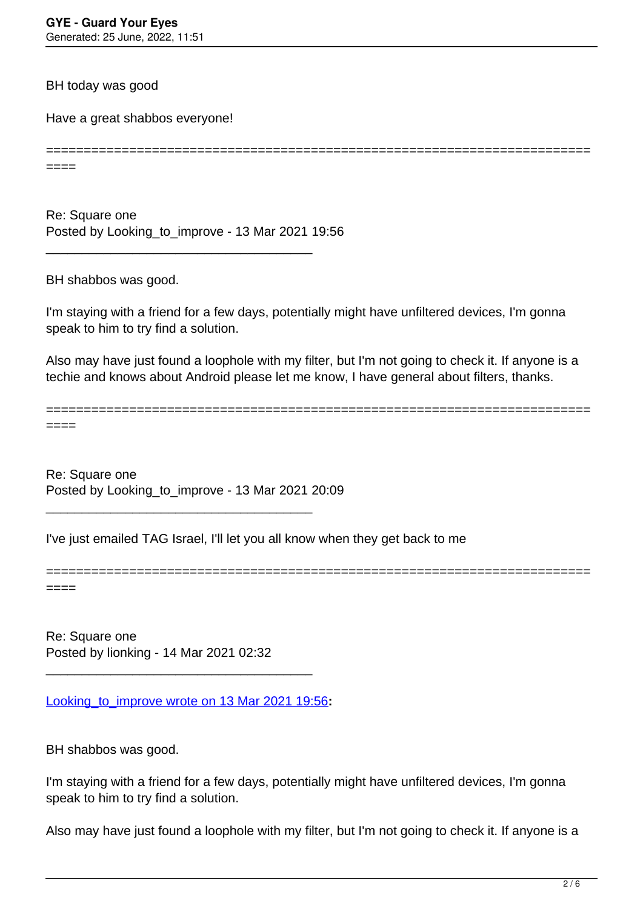BH today was good

Have a great shabbos everyone!

======================================================================== ====

Re: Square one Posted by Looking to improve - 13 Mar 2021 19:56

\_\_\_\_\_\_\_\_\_\_\_\_\_\_\_\_\_\_\_\_\_\_\_\_\_\_\_\_\_\_\_\_\_\_\_\_\_

BH shabbos was good.

I'm staying with a friend for a few days, potentially might have unfiltered devices, I'm gonna speak to him to try find a solution.

Also may have just found a loophole with my filter, but I'm not going to check it. If anyone is a techie and knows about Android please let me know, I have general about filters, thanks.

======================================================================== ====

Re: Square one Posted by Looking to improve - 13 Mar 2021 20:09

\_\_\_\_\_\_\_\_\_\_\_\_\_\_\_\_\_\_\_\_\_\_\_\_\_\_\_\_\_\_\_\_\_\_\_\_\_

I've just emailed TAG Israel, I'll let you all know when they get back to me

========================================================================

====

Re: Square one Posted by lionking - 14 Mar 2021 02:32

[Looking\\_to\\_improve wrote on 13 Mar 2021 19:56](/forum/4-On-the-Way-to-90-Days/365316-Re-Square-one)**:**

\_\_\_\_\_\_\_\_\_\_\_\_\_\_\_\_\_\_\_\_\_\_\_\_\_\_\_\_\_\_\_\_\_\_\_\_\_

BH shabbos was good.

I'm staying with a friend for a few days, potentially might have unfiltered devices, I'm gonna speak to him to try find a solution.

Also may have just found a loophole with my filter, but I'm not going to check it. If anyone is a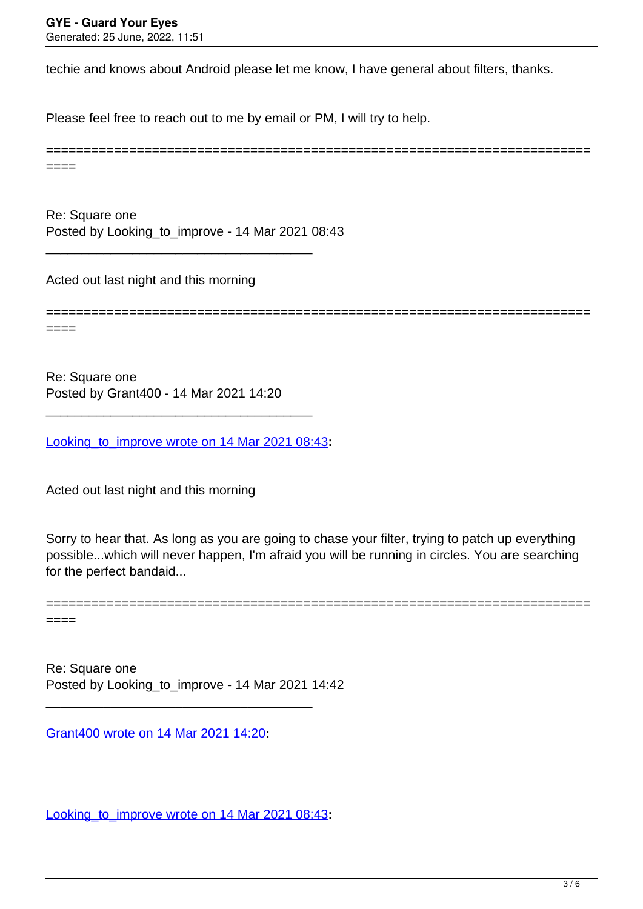techie and knows about Android please let me know, I have general about filters, thanks.

Please feel free to reach out to me by email or PM, I will try to help.

======================================================================== ====

Re: Square one Posted by Looking\_to\_improve - 14 Mar 2021 08:43

\_\_\_\_\_\_\_\_\_\_\_\_\_\_\_\_\_\_\_\_\_\_\_\_\_\_\_\_\_\_\_\_\_\_\_\_\_

Acted out last night and this morning

========================================================================

Re: Square one Posted by Grant400 - 14 Mar 2021 14:20

[Looking\\_to\\_improve wrote on 14 Mar 2021 08:43](/forum/4-On-the-Way-to-90-Days/365345-Re-Square-one)**:**

\_\_\_\_\_\_\_\_\_\_\_\_\_\_\_\_\_\_\_\_\_\_\_\_\_\_\_\_\_\_\_\_\_\_\_\_\_

Acted out last night and this morning

Sorry to hear that. As long as you are going to chase your filter, trying to patch up everything possible...which will never happen, I'm afraid you will be running in circles. You are searching for the perfect bandaid...

========================================================================

====

====

Re: Square one Posted by Looking\_to\_improve - 14 Mar 2021 14:42

\_\_\_\_\_\_\_\_\_\_\_\_\_\_\_\_\_\_\_\_\_\_\_\_\_\_\_\_\_\_\_\_\_\_\_\_\_

[Grant400 wrote on 14 Mar 2021 14:20](/forum/4-On-the-Way-to-90-Days/365350-Re-Square-one)**:**

[Looking\\_to\\_improve wrote on 14 Mar 2021 08:43](/forum/4-On-the-Way-to-90-Days/365345-Re-Square-one)**:**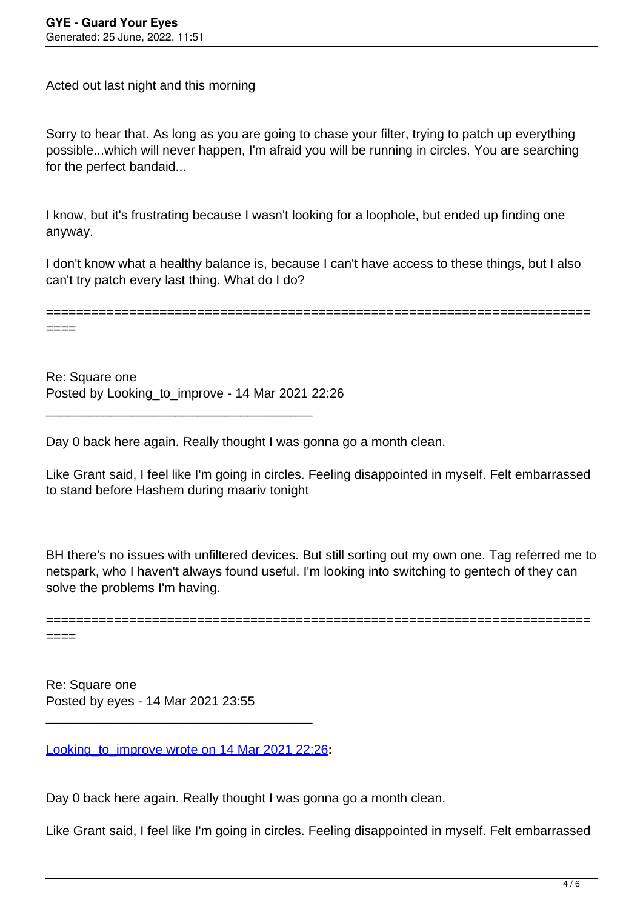====

Acted out last night and this morning

Sorry to hear that. As long as you are going to chase your filter, trying to patch up everything possible...which will never happen, I'm afraid you will be running in circles. You are searching for the perfect bandaid...

I know, but it's frustrating because I wasn't looking for a loophole, but ended up finding one anyway.

I don't know what a healthy balance is, because I can't have access to these things, but I also can't try patch every last thing. What do I do?

========================================================================

Re: Square one Posted by Looking to improve - 14 Mar 2021 22:26

\_\_\_\_\_\_\_\_\_\_\_\_\_\_\_\_\_\_\_\_\_\_\_\_\_\_\_\_\_\_\_\_\_\_\_\_\_

Day 0 back here again. Really thought I was gonna go a month clean.

Like Grant said, I feel like I'm going in circles. Feeling disappointed in myself. Felt embarrassed to stand before Hashem during maariv tonight

BH there's no issues with unfiltered devices. But still sorting out my own one. Tag referred me to netspark, who I haven't always found useful. I'm looking into switching to gentech of they can solve the problems I'm having.

======================================================================== ====

Re: Square one Posted by eyes - 14 Mar 2021 23:55

[Looking\\_to\\_improve wrote on 14 Mar 2021 22:26](/forum/4-On-the-Way-to-90-Days/365385-Re-Square-one)**:**

\_\_\_\_\_\_\_\_\_\_\_\_\_\_\_\_\_\_\_\_\_\_\_\_\_\_\_\_\_\_\_\_\_\_\_\_\_

Day 0 back here again. Really thought I was gonna go a month clean.

Like Grant said, I feel like I'm going in circles. Feeling disappointed in myself. Felt embarrassed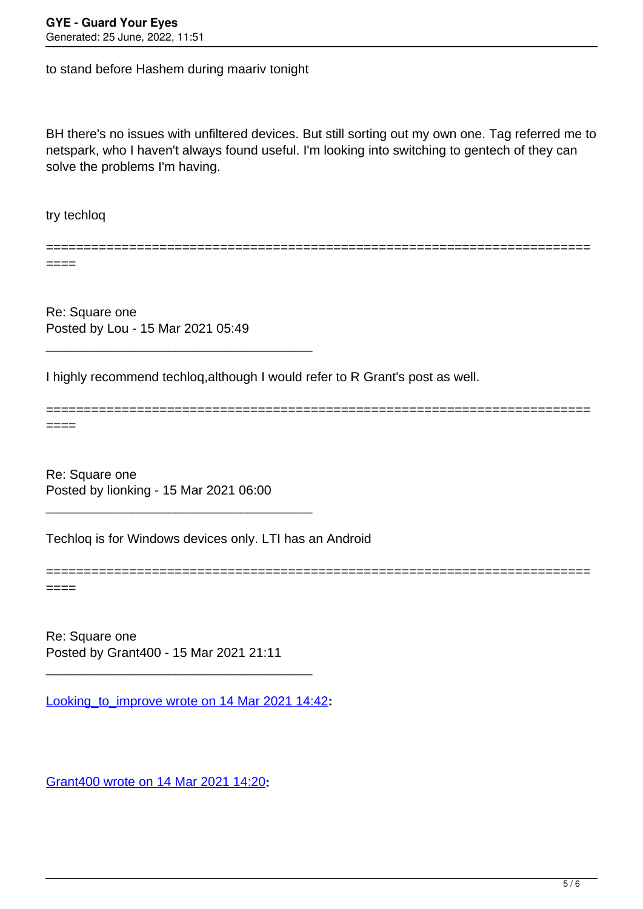to stand before Hashem during maariv tonight

BH there's no issues with unfiltered devices. But still sorting out my own one. Tag referred me to netspark, who I haven't always found useful. I'm looking into switching to gentech of they can solve the problems I'm having.

========================================================================

========================================================================

try techloq

====

Re: Square one Posted by Lou - 15 Mar 2021 05:49

\_\_\_\_\_\_\_\_\_\_\_\_\_\_\_\_\_\_\_\_\_\_\_\_\_\_\_\_\_\_\_\_\_\_\_\_\_

I highly recommend techloq,although I would refer to R Grant's post as well.

====

Re: Square one Posted by lionking - 15 Mar 2021 06:00

\_\_\_\_\_\_\_\_\_\_\_\_\_\_\_\_\_\_\_\_\_\_\_\_\_\_\_\_\_\_\_\_\_\_\_\_\_

Techloq is for Windows devices only. LTI has an Android

========================================================================

====

Re: Square one Posted by Grant400 - 15 Mar 2021 21:11

[Looking\\_to\\_improve wrote on 14 Mar 2021 14:42](/forum/4-On-the-Way-to-90-Days/365351-Re-Square-one)**:**

\_\_\_\_\_\_\_\_\_\_\_\_\_\_\_\_\_\_\_\_\_\_\_\_\_\_\_\_\_\_\_\_\_\_\_\_\_

[Grant400 wrote on 14 Mar 2021 14:20](/forum/4-On-the-Way-to-90-Days/365350-Re-Square-one)**:**